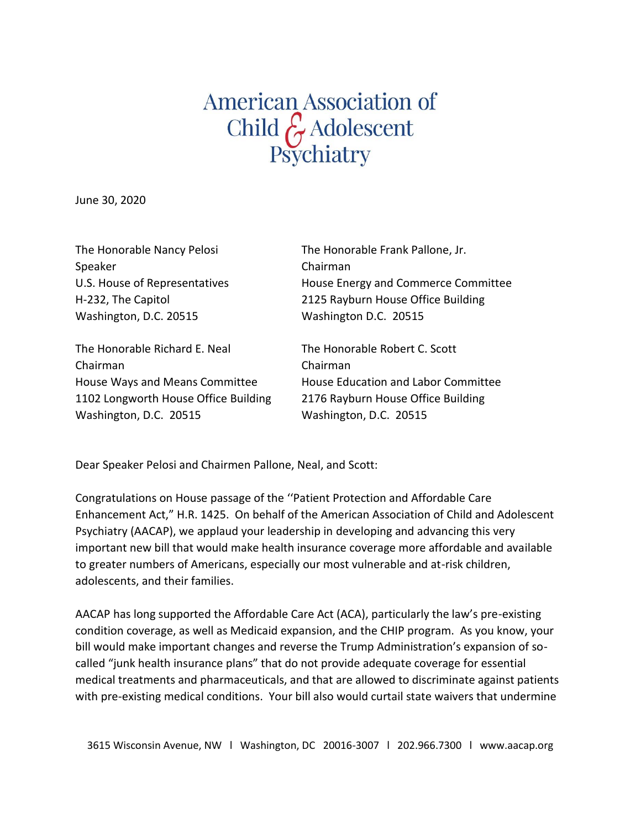## American Association of<br>Child G Adolescent<br>Psychiatry

June 30, 2020

| The Honorable Nancy Pelosi     | The Honorable Frank Pallone, Jr.    |
|--------------------------------|-------------------------------------|
| Speaker                        | Chairman                            |
| U.S. House of Representatives  | House Energy and Commerce Committee |
| H-232, The Capitol             | 2125 Rayburn House Office Building  |
| Washington, D.C. 20515         | Washington D.C. 20515               |
| The Honorable Richard E. Neal  | The Honorable Robert C. Scott       |
| Chairman                       | Chairman                            |
| House Ways and Means Committee | House Education and Labor Committee |

1102 Longworth House Office Building 2176 Rayburn House Office Building Washington, D.C. 20515 Washington, D.C. 20515

Dear Speaker Pelosi and Chairmen Pallone, Neal, and Scott:

Congratulations on House passage of the ''Patient Protection and Affordable Care Enhancement Act," H.R. 1425. On behalf of the American Association of Child and Adolescent Psychiatry (AACAP), we applaud your leadership in developing and advancing this very important new bill that would make health insurance coverage more affordable and available to greater numbers of Americans, especially our most vulnerable and at-risk children, adolescents, and their families.

AACAP has long supported the Affordable Care Act (ACA), particularly the law's pre-existing condition coverage, as well as Medicaid expansion, and the CHIP program. As you know, your bill would make important changes and reverse the Trump Administration's expansion of socalled "junk health insurance plans" that do not provide adequate coverage for essential medical treatments and pharmaceuticals, and that are allowed to discriminate against patients with pre-existing medical conditions. Your bill also would curtail state waivers that undermine

3615 Wisconsin Avenue, NW l Washington, DC 20016-3007 l 202.966.7300 l www.aacap.org